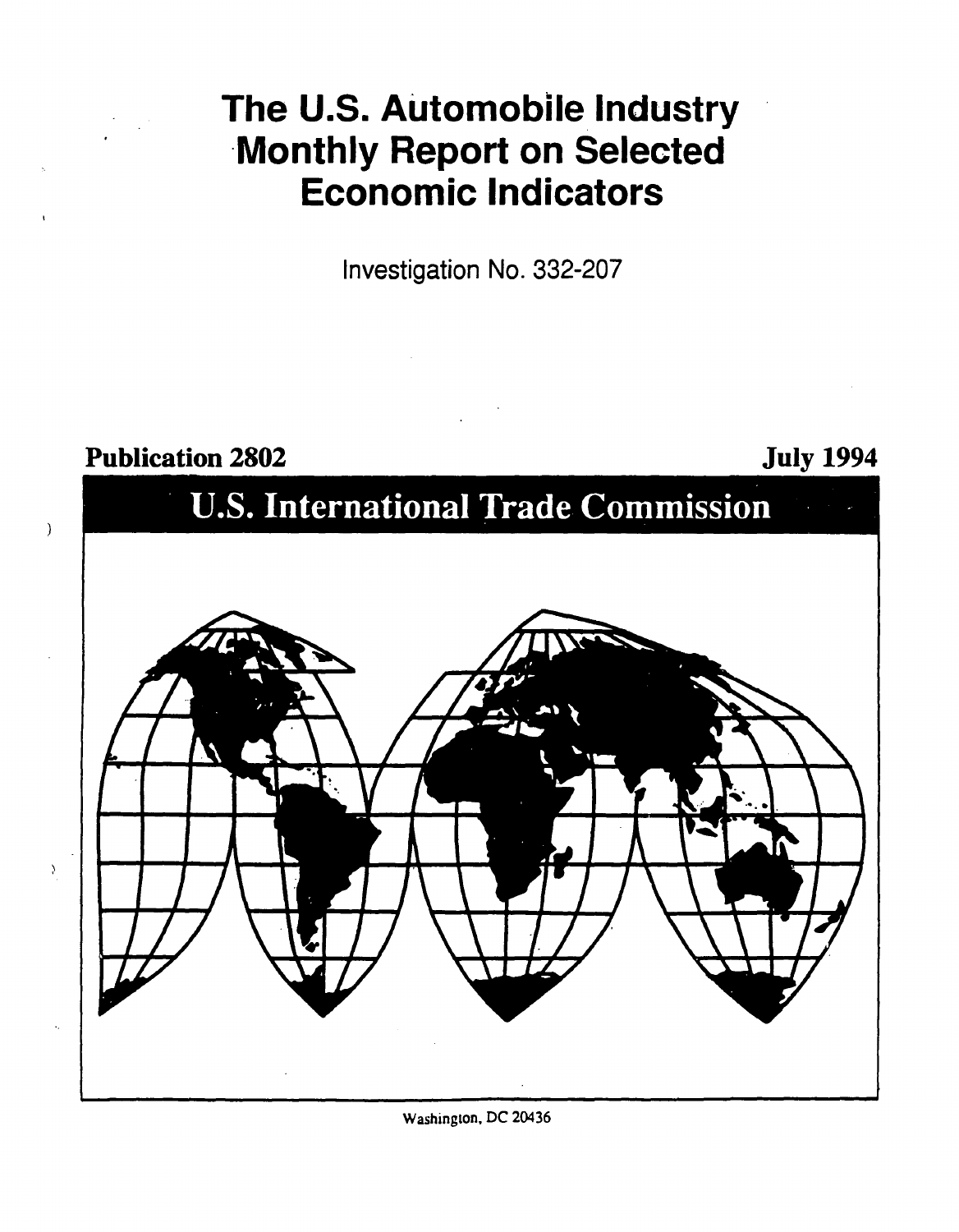# The U.S. Automobile Industry ·Monthly Report on Selected Economic Indicators

Investigation No. 332-207



 $\mathcal{E}$ 

 $\bar{\chi}$ 

Washington. DC 20436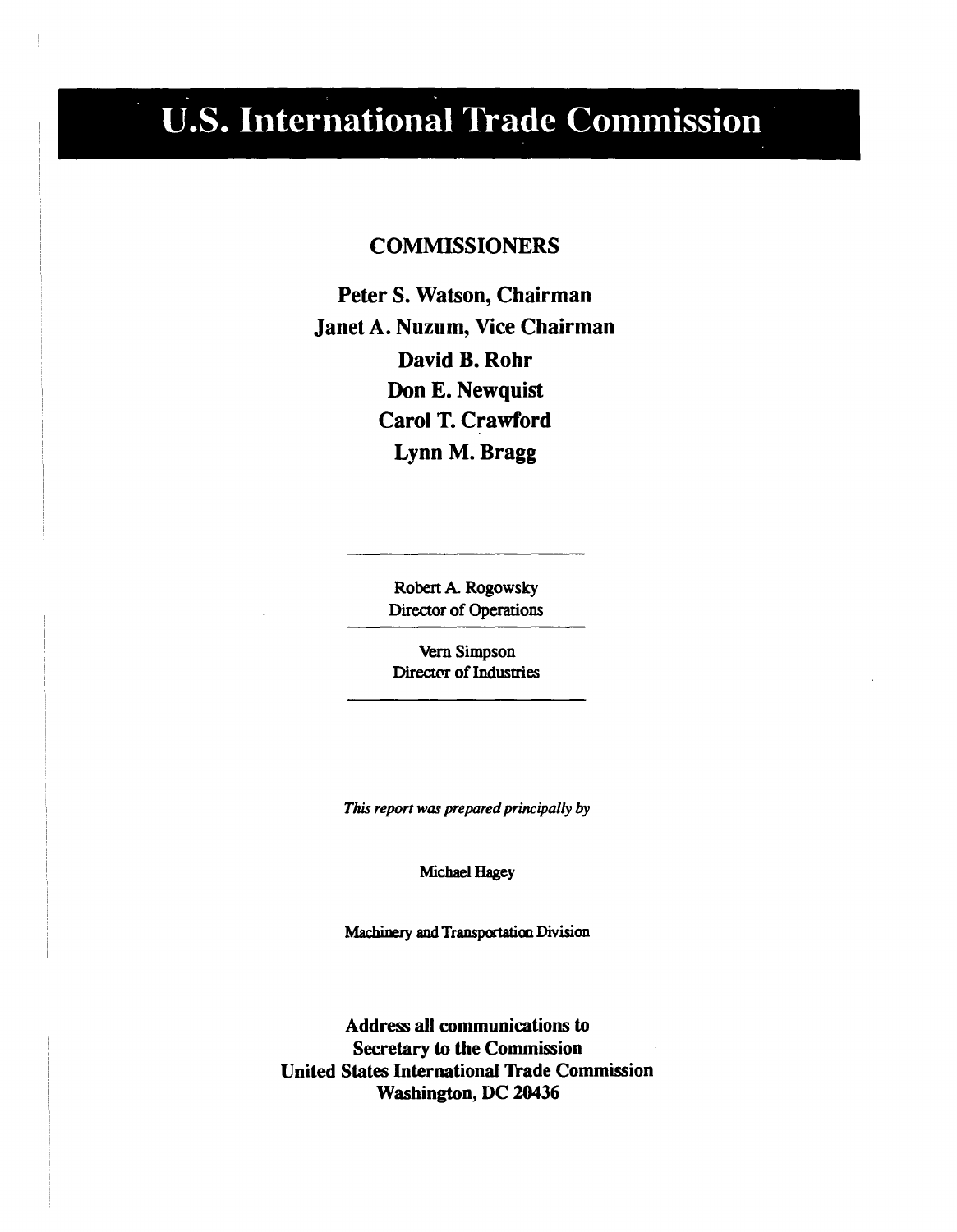# U.S. International Trade Commission

. .

# **COMMISSIONERS**

Peter S. Watson, Chairman Janet A. Nuzum, Vice Chairman David B. Rohr Don E. Newquist Carol T. Crawford Lynn M. Bragg

> Robert A. Rogowsky Director of Operations

Vern Simpson Director of Industries

*This report was prepared principally by* 

Michael Hagey

Machinery and Transportation Division

Address all communications to Secretary to the Commission United States International Trade Commission Washington, DC 20436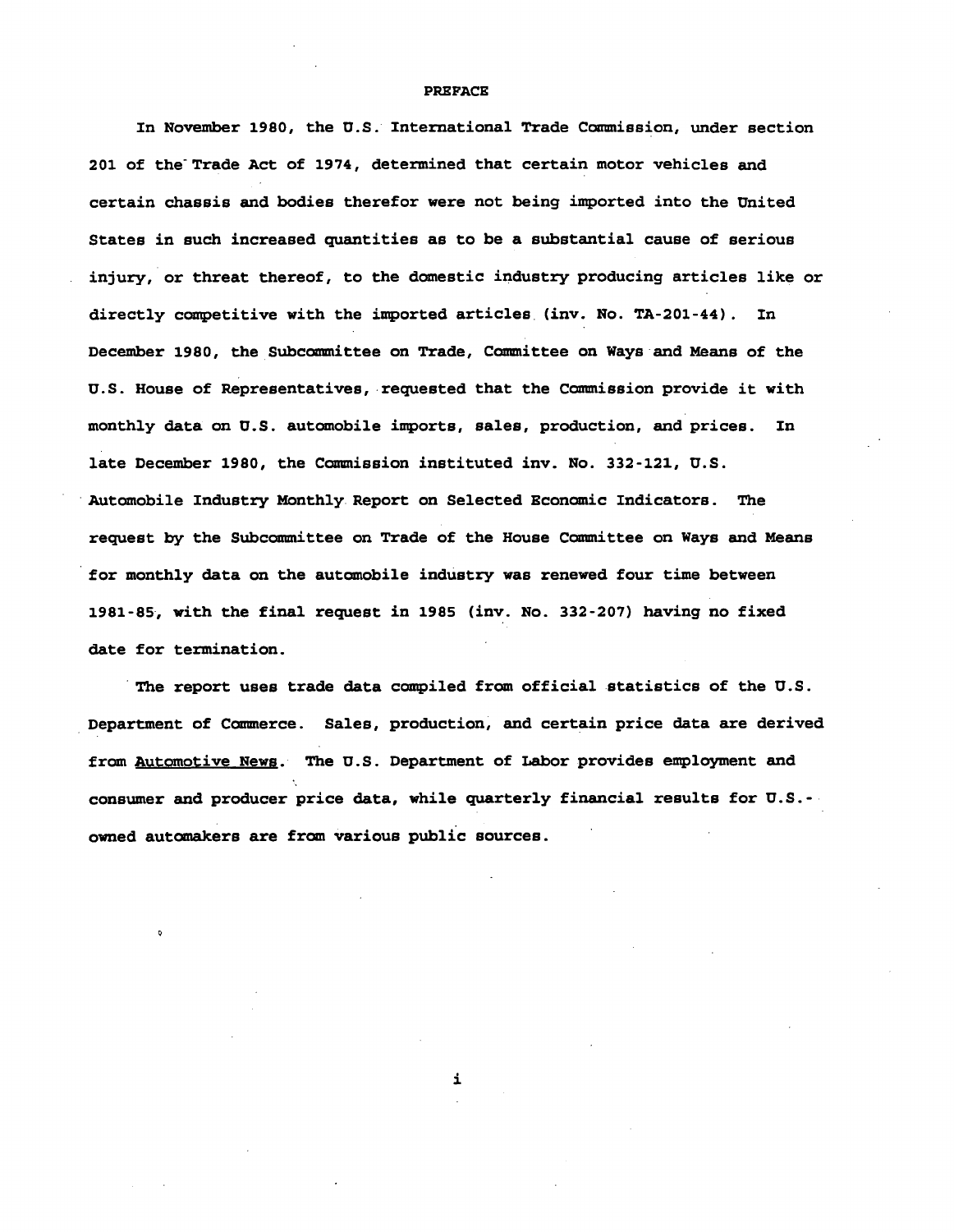#### PREFACE

In November 1980, the U.S. International Trade Commission, under section 201 of the"Trade Act of 1974, determined that certain motor vehicles and certain chassis and bodies therefor were not being imported into the United States in such increased quantities as to be a substantial cause of serious injury, or threat thereof, to the domestic industry producing articles like or directly competitive with the imported articles (inv. No. TA-201-44). In December 1980, the Subcommittee on Trade, Committee on Ways and Means of the U.S. House of Representatives, requested that the Commission provide it with monthly data on U.S. automobile imports, sales, production, and prices. In late December 1980, the Commission instituted inv. No. 332-121, U.S. ·Automobile Industry Monthly Report on Selected Economic Indicators. The request by the Subcommittee on Trade of the House Committee on Ways and Means for monthly data on the automobile industry was renewed four time between 1981-85, with the final request in 1985 (inv. No. 332-207) having no fixed date for termination.

The report uses trade data compiled from official statistics of the U.S. Department of Commerce. Sales, production, and certain price data are derived from Automotive News. The U.S. Department of Labor provides employment and consumer and producer price data, while quarterly financial results for U.S. owned autanakers are from various public sources.

i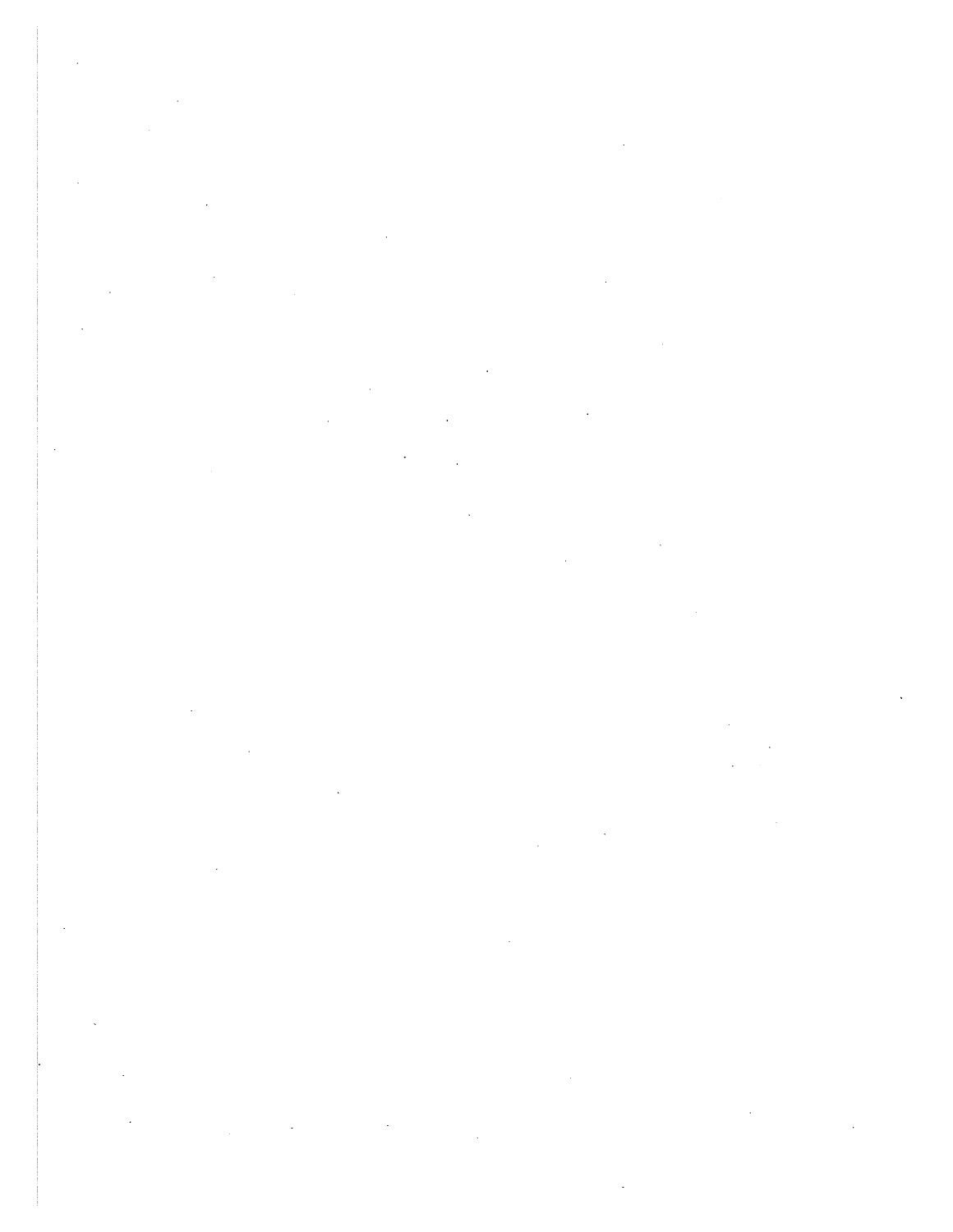$\label{eq:2.1} \frac{1}{\sqrt{2}}\left(\frac{1}{\sqrt{2}}\right)^{2} \left(\frac{1}{\sqrt{2}}\right)^{2} \left(\frac{1}{\sqrt{2}}\right)^{2} \left(\frac{1}{\sqrt{2}}\right)^{2} \left(\frac{1}{\sqrt{2}}\right)^{2} \left(\frac{1}{\sqrt{2}}\right)^{2} \left(\frac{1}{\sqrt{2}}\right)^{2} \left(\frac{1}{\sqrt{2}}\right)^{2} \left(\frac{1}{\sqrt{2}}\right)^{2} \left(\frac{1}{\sqrt{2}}\right)^{2} \left(\frac{1}{\sqrt{2}}\right)^{2} \left(\$ 

 $\label{eq:2.1} \frac{1}{\sqrt{2}}\int_{\mathbb{R}^3}\frac{1}{\sqrt{2}}\left(\frac{1}{\sqrt{2}}\right)^2\frac{1}{\sqrt{2}}\left(\frac{1}{\sqrt{2}}\right)^2\frac{1}{\sqrt{2}}\left(\frac{1}{\sqrt{2}}\right)^2\frac{1}{\sqrt{2}}\left(\frac{1}{\sqrt{2}}\right)^2.$  $\label{eq:2.1} \frac{1}{\sqrt{2}}\int_{\mathbb{R}^3}\frac{1}{\sqrt{2}}\left(\frac{1}{\sqrt{2}}\right)^2\left(\frac{1}{\sqrt{2}}\right)^2\left(\frac{1}{\sqrt{2}}\right)^2\left(\frac{1}{\sqrt{2}}\right)^2\left(\frac{1}{\sqrt{2}}\right)^2\left(\frac{1}{\sqrt{2}}\right)^2.$ 

 $\label{eq:2.1} \frac{1}{\sqrt{2}}\int_{\mathbb{R}^3}\frac{1}{\sqrt{2}}\left(\frac{1}{\sqrt{2}}\right)^2\frac{1}{\sqrt{2}}\left(\frac{1}{\sqrt{2}}\right)^2\frac{1}{\sqrt{2}}\left(\frac{1}{\sqrt{2}}\right)^2\frac{1}{\sqrt{2}}\left(\frac{1}{\sqrt{2}}\right)^2.$ 

 $\label{eq:2.1} \frac{1}{\sqrt{2\pi}}\frac{1}{\sqrt{2\pi}}\int_{0}^{\infty}\frac{1}{\sqrt{2\pi}}\left(\frac{1}{\sqrt{2\pi}}\right)^{2\sqrt{2}}\frac{1}{\sqrt{2\pi}}\int_{0}^{\infty}\frac{1}{\sqrt{2\pi}}\frac{1}{\sqrt{2\pi}}\frac{1}{\sqrt{2\pi}}\frac{1}{\sqrt{2\pi}}\frac{1}{\sqrt{2\pi}}\frac{1}{\sqrt{2\pi}}\frac{1}{\sqrt{2\pi}}\frac{1}{\sqrt{2\pi}}\frac{1}{\sqrt{2\pi}}\frac{1}{\sqrt{2\pi}}\$ 

 $\label{eq:2.1} \frac{1}{2} \sum_{i=1}^n \frac{1}{2} \sum_{j=1}^n \frac{1}{2} \sum_{j=1}^n \frac{1}{2} \sum_{j=1}^n \frac{1}{2} \sum_{j=1}^n \frac{1}{2} \sum_{j=1}^n \frac{1}{2} \sum_{j=1}^n \frac{1}{2} \sum_{j=1}^n \frac{1}{2} \sum_{j=1}^n \frac{1}{2} \sum_{j=1}^n \frac{1}{2} \sum_{j=1}^n \frac{1}{2} \sum_{j=1}^n \frac{1}{2} \sum_{j=1}^n \frac{$  $\mathcal{L}(\mathcal{A})$  and  $\mathcal{L}(\mathcal{A})$  $\label{eq:2.1} \begin{split} \mathcal{L}_{\text{max}}(\mathbf{r}) & = \frac{1}{2} \sum_{i=1}^{N} \mathcal{L}_{\text{max}}(\mathbf{r}) \mathcal{L}_{\text{max}}(\mathbf{r}) \\ & = \frac{1}{2} \sum_{i=1}^{N} \mathcal{L}_{\text{max}}(\mathbf{r}) \mathcal{L}_{\text{max}}(\mathbf{r}) \mathcal{L}_{\text{max}}(\mathbf{r}) \mathcal{L}_{\text{max}}(\mathbf{r}) \mathcal{L}_{\text{max}}(\mathbf{r}) \mathcal{L}_{\text{max}}(\mathbf{r}) \mathcal{L}_{\text{max}}(\mathbf$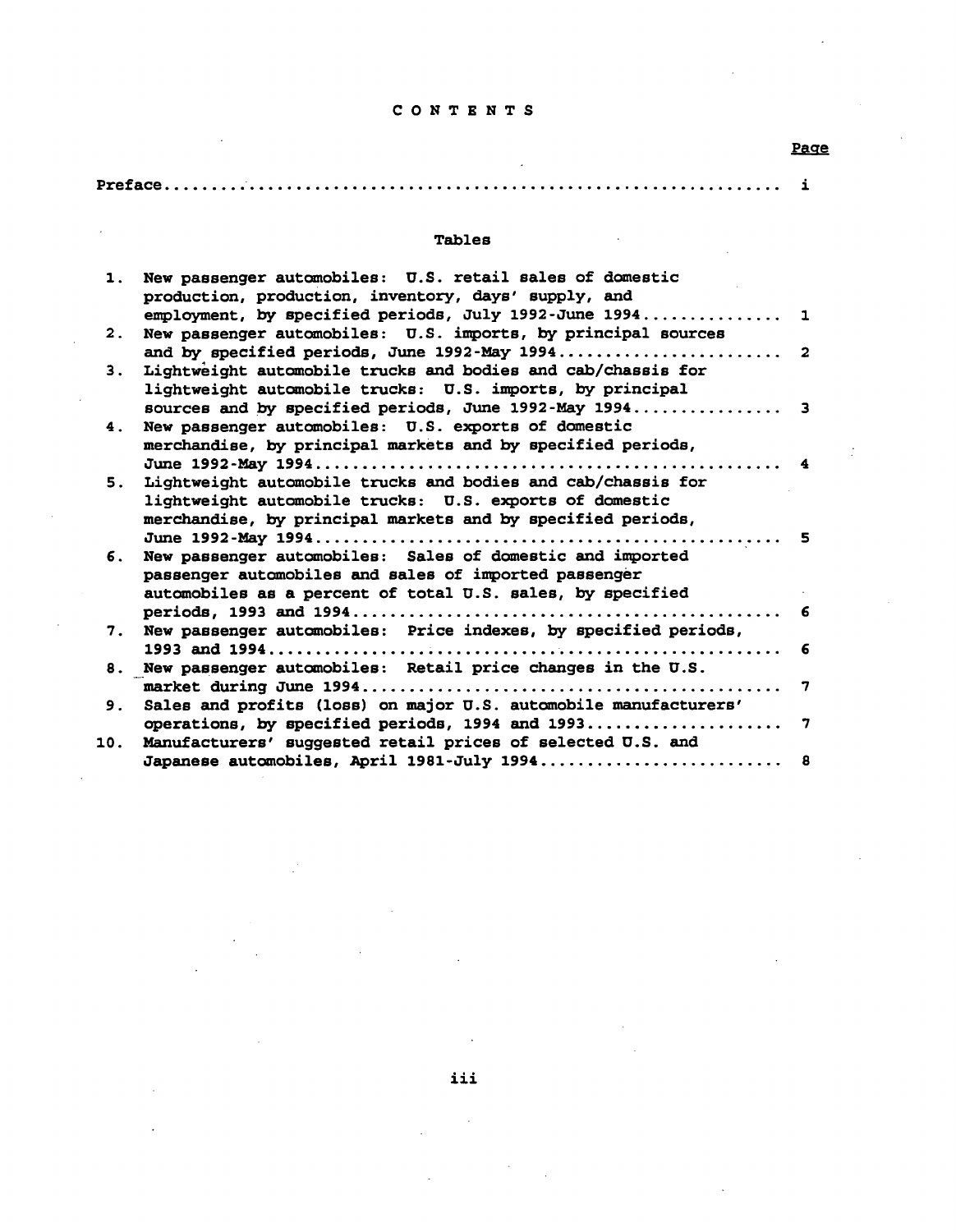# CONTENTS

# Preface ....•.... ·. . . . . . . . . . . . . . . . . . . . . . . . . . . . . . . . . . . . . . . . . . . . . . . . . . . . . . . . . i

## Tables

 $\mathcal{L}$ 

| 1.  | New passenger automobiles: U.S. retail sales of domestic<br>production, production, inventory, days' supply, and<br>employment, by specified periods, July 1992-June 1994 1 |    |
|-----|-----------------------------------------------------------------------------------------------------------------------------------------------------------------------------|----|
| 2.  | New passenger automobiles: U.S. imports, by principal sources                                                                                                               |    |
|     |                                                                                                                                                                             |    |
| 3.  | Lightweight automobile trucks and bodies and cab/chassis for                                                                                                                |    |
|     | lightweight automobile trucks: U.S. imports, by principal                                                                                                                   |    |
|     |                                                                                                                                                                             |    |
|     | sources and by specified periods, June 1992-May 1994 3                                                                                                                      |    |
| 4.  | New passenger automobiles: U.S. exports of domestic                                                                                                                         |    |
|     | merchandise, by principal markets and by specified periods,                                                                                                                 |    |
|     |                                                                                                                                                                             | 4  |
| 5.  | Lightweight automobile trucks and bodies and cab/chassis for                                                                                                                |    |
|     | lightweight automobile trucks: U.S. exports of domestic                                                                                                                     |    |
|     | merchandise, by principal markets and by specified periods,                                                                                                                 |    |
|     |                                                                                                                                                                             |    |
| 6.  | New passenger automobiles: Sales of domestic and imported                                                                                                                   |    |
|     | passenger automobiles and sales of imported passenger                                                                                                                       |    |
|     | automobiles as a percent of total U.S. sales, by specified                                                                                                                  |    |
|     |                                                                                                                                                                             | -6 |
| 7.  | New passenger automobiles: Price indexes, by specified periods,                                                                                                             |    |
|     |                                                                                                                                                                             | -6 |
| 8.  | New passenger automobiles: Retail price changes in the U.S.                                                                                                                 |    |
|     |                                                                                                                                                                             | 7  |
| 9.  | Sales and profits (loss) on major U.S. automobile manufacturers'                                                                                                            |    |
|     |                                                                                                                                                                             |    |
| 10. | Manufacturers' suggested retail prices of selected U.S. and                                                                                                                 |    |
|     | Japanese automobiles, April 1981-July 1994 8                                                                                                                                |    |
|     |                                                                                                                                                                             |    |

 $\ddot{\phantom{a}}$ 

Page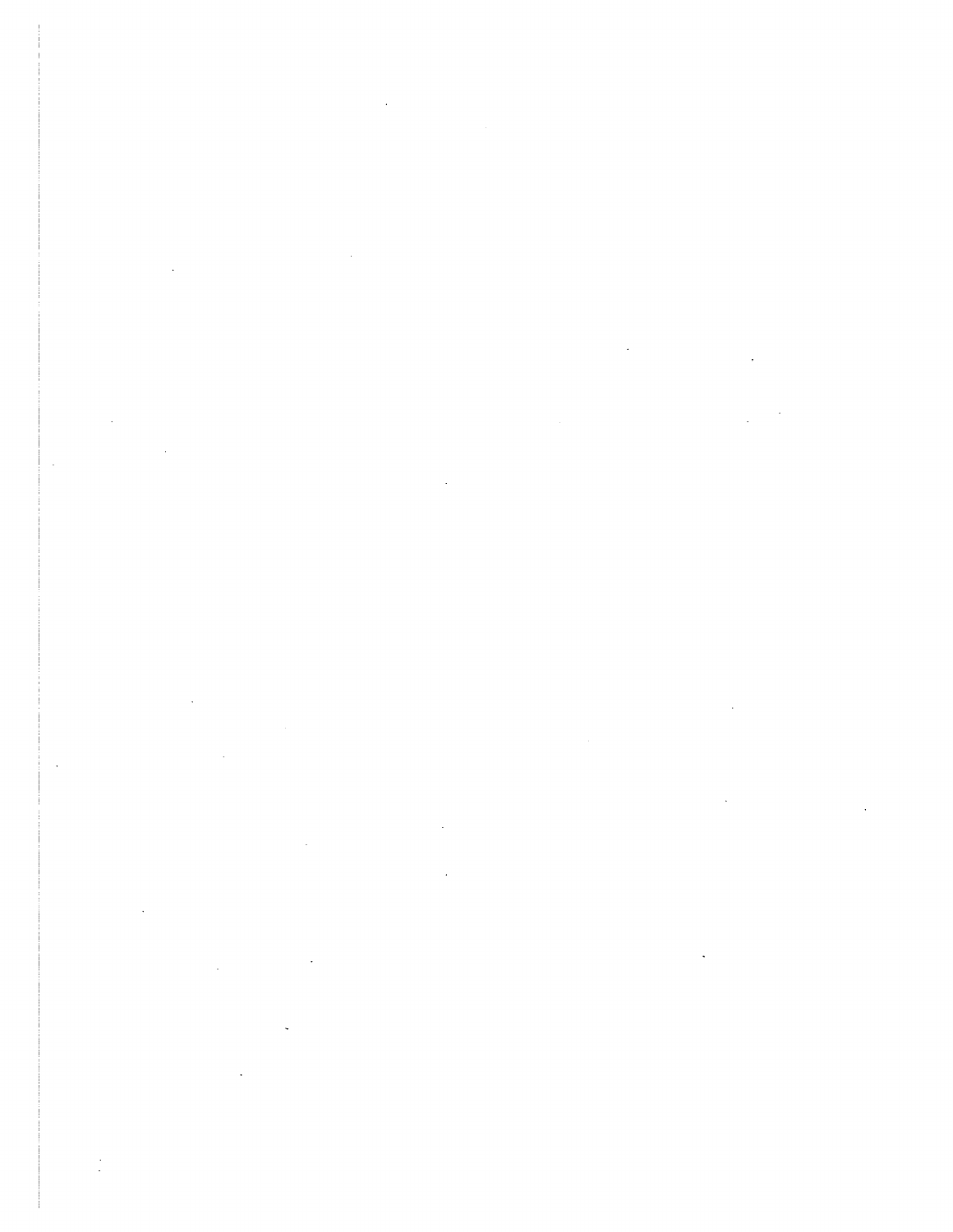$\label{eq:2.1} \frac{1}{\sqrt{2}}\int_{\mathbb{R}^3}\frac{1}{\sqrt{2}}\left(\frac{1}{\sqrt{2}}\right)^2\frac{1}{\sqrt{2}}\left(\frac{1}{\sqrt{2}}\right)^2\frac{1}{\sqrt{2}}\left(\frac{1}{\sqrt{2}}\right)^2\frac{1}{\sqrt{2}}\left(\frac{1}{\sqrt{2}}\right)^2\frac{1}{\sqrt{2}}\left(\frac{1}{\sqrt{2}}\right)^2\frac{1}{\sqrt{2}}\frac{1}{\sqrt{2}}\frac{1}{\sqrt{2}}\frac{1}{\sqrt{2}}\frac{1}{\sqrt{2}}\frac{1}{\sqrt{2}}$ 

 $\label{eq:2.1} \frac{1}{2} \sum_{i=1}^n \frac{1}{2} \sum_{j=1}^n \frac{1}{2} \sum_{j=1}^n \frac{1}{2} \sum_{j=1}^n \frac{1}{2} \sum_{j=1}^n \frac{1}{2} \sum_{j=1}^n \frac{1}{2} \sum_{j=1}^n \frac{1}{2} \sum_{j=1}^n \frac{1}{2} \sum_{j=1}^n \frac{1}{2} \sum_{j=1}^n \frac{1}{2} \sum_{j=1}^n \frac{1}{2} \sum_{j=1}^n \frac{1}{2} \sum_{j=1}^n \frac{$  $\label{eq:2.1} \frac{1}{\sqrt{2}}\left(\frac{1}{\sqrt{2}}\right)^{2} \left(\frac{1}{\sqrt{2}}\right)^{2} \left(\frac{1}{\sqrt{2}}\right)^{2} \left(\frac{1}{\sqrt{2}}\right)^{2} \left(\frac{1}{\sqrt{2}}\right)^{2} \left(\frac{1}{\sqrt{2}}\right)^{2} \left(\frac{1}{\sqrt{2}}\right)^{2} \left(\frac{1}{\sqrt{2}}\right)^{2} \left(\frac{1}{\sqrt{2}}\right)^{2} \left(\frac{1}{\sqrt{2}}\right)^{2} \left(\frac{1}{\sqrt{2}}\right)^{2} \left(\$ 

 $\mathcal{L}(\mathcal{L}^{\mathcal{L}})$  and  $\mathcal{L}(\mathcal{L}^{\mathcal{L}})$  and  $\mathcal{L}^{\mathcal{L}}$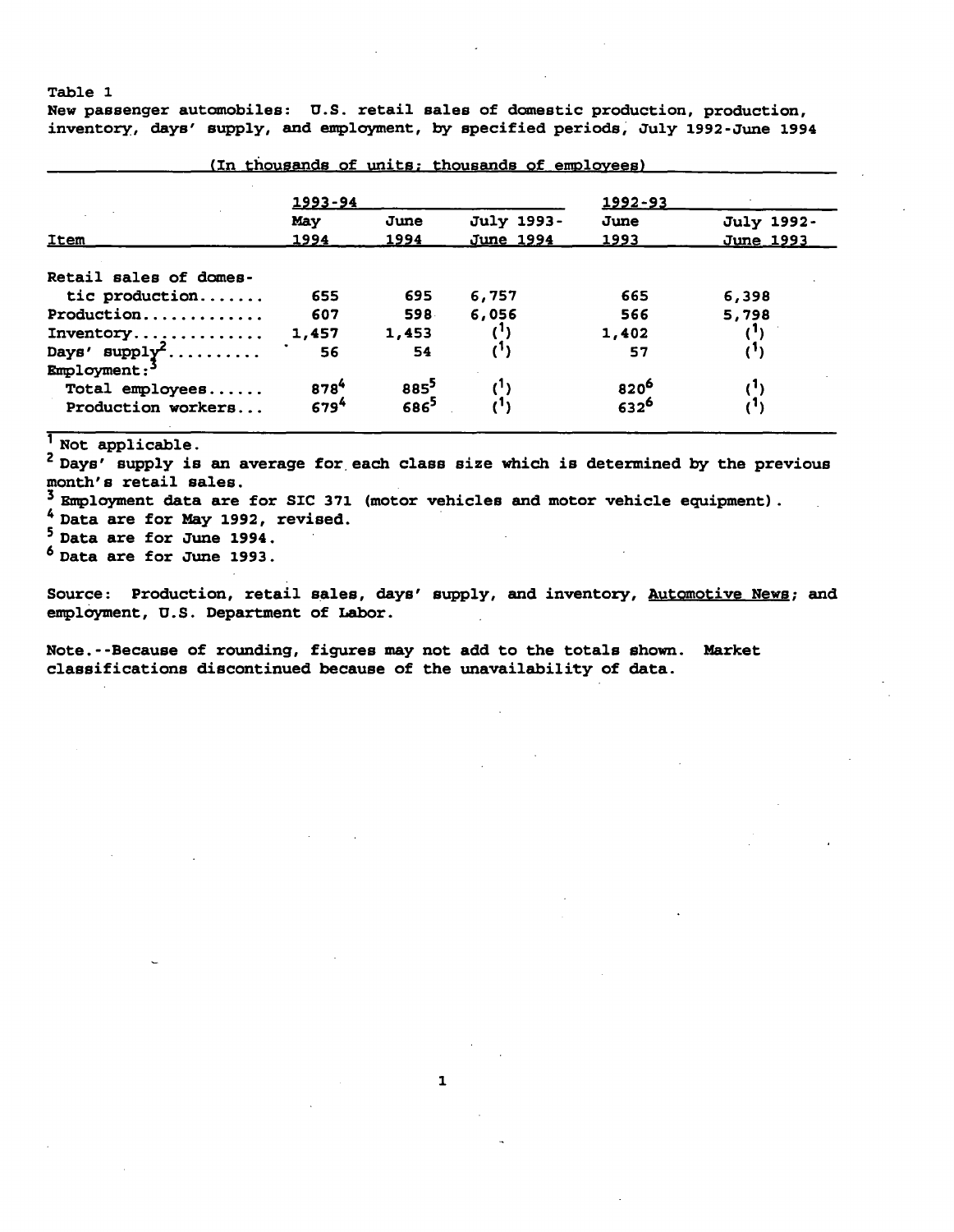New passenger automobiles: U.S. retail sales of domestic production, production, inventory, days' supply, and employment, by specified periods; July 1992-June 1994

|                         | 1993-94          |           |            | 1992-93   |            |  |
|-------------------------|------------------|-----------|------------|-----------|------------|--|
|                         | May              | June      | July 1993- | June      | July 1992- |  |
| Item                    | 1994             | 1994      | June 1994  | 1993      | June 1993  |  |
| Retail sales of domes-  |                  |           |            |           |            |  |
| tic production          | 655              | 695       | 6,757      | 665       | 6,398      |  |
| Production              | 607              | 598       | 6,056      | 566       | 5,798      |  |
| Inventory               | 1,457            | 1,453     |            | 1,402     |            |  |
| Days' $\text{supp1y}^2$ | 56               | 54        |            | 57        |            |  |
| Emplopment:             |                  |           |            |           |            |  |
| Total employees         | 8784             | $885^{5}$ |            | $820^{6}$ |            |  |
| Production workers      | 679 <sup>4</sup> | $686^{5}$ |            | $632^{6}$ |            |  |

(In thousands of units; thousands of employees)

<sup>1</sup> Not applicable.<br><sup>2</sup> Days' supply is an average for each class size which is determined by the previous month's retail sales.

<sup>3</sup> Employment data are for SIC 371 (motor vehicles and motor vehicle equipment).<br><sup>4</sup> Data are for May 1992, revised.

5 Data are for June 1994.

<sup>6</sup> Data are for June 1993.

Source: Production, retail sales, days' supply, and inventory, Automotive News; and employment, U.S. Department of Labor.

1

Note.--Because of rounding, figures may not add to the totals shown. Market classifications discontinued because of the unavailability of data.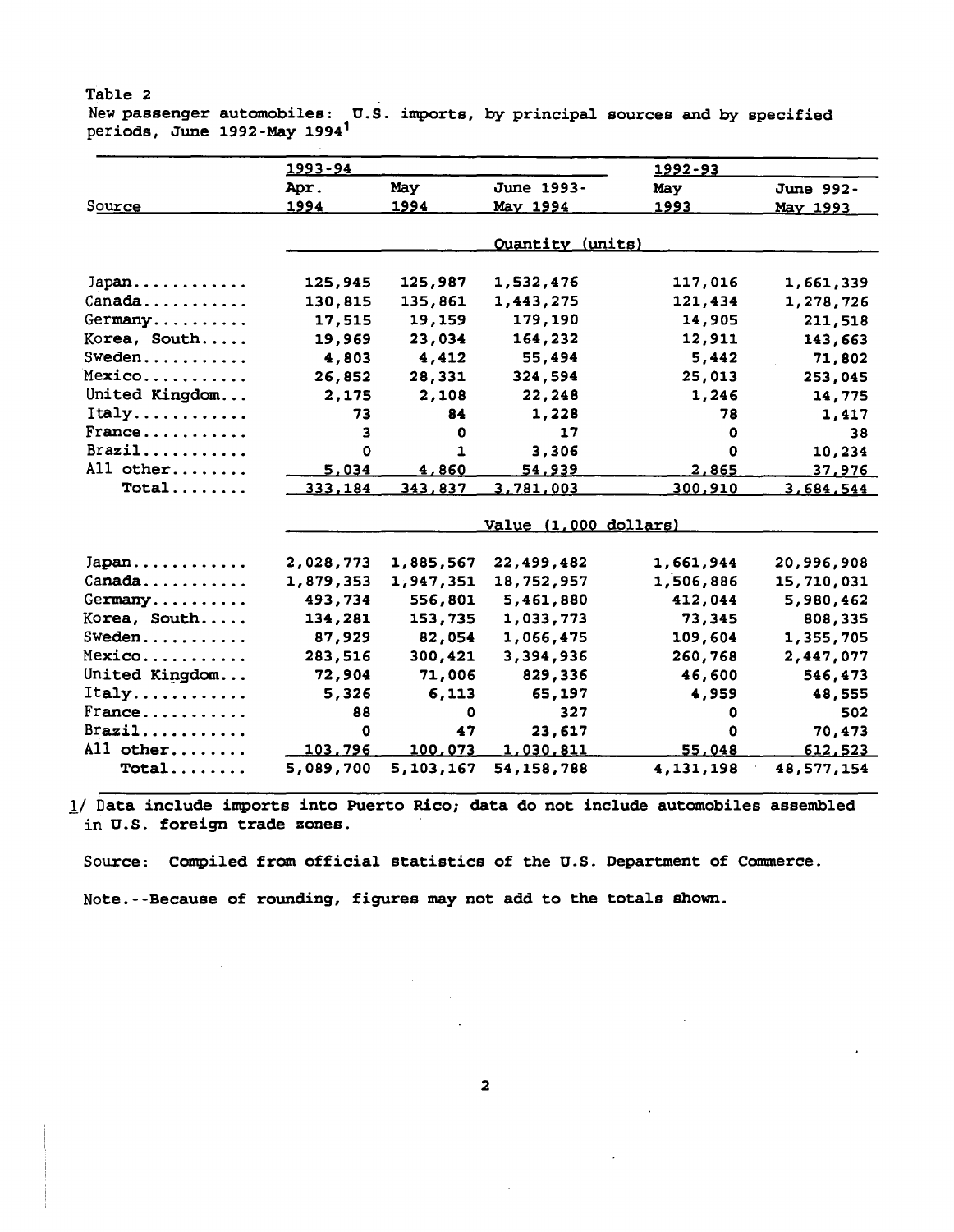New passenger automobiles:  $\overline{U.S.}$  imports, by principal sources and by specified periods, June 1992-May 1994<sup>1</sup>

|                            | <u> 1993-94</u>       |              |                         | <u> 1992-93</u> |            |  |  |  |
|----------------------------|-----------------------|--------------|-------------------------|-----------------|------------|--|--|--|
|                            | Apr.                  | May          | June 1993-              | May             | June 992-  |  |  |  |
| Source                     | 1994                  | 1994         | May 1994                | 1993            | May 1993   |  |  |  |
|                            |                       |              | <b>Ouantity (units)</b> |                 |            |  |  |  |
| Japan                      | 125,945               | 125,987      | 1,532,476               | 117,016         | 1,661,339  |  |  |  |
| $Canada$                   | 130,815               | 135,861      | 1,443,275               | 121,434         | 1,278,726  |  |  |  |
| Germany                    | 17,515                | 19,159       | 179,190                 | 14,905          | 211,518    |  |  |  |
| Korea, South               | 19,969                | 23,034       | 164,232                 | 12,911          | 143,663    |  |  |  |
| Sweden                     | 4,803                 | 4,412        | 55,494                  | 5,442           | 71,802     |  |  |  |
| Mexico                     | 26,852                | 28,331       | 324,594                 | 25,013          | 253,045    |  |  |  |
| United Kingdom             | 2,175                 | 2,108        | 22,248                  | 1,246           | 14,775     |  |  |  |
| Italy                      | 73                    | 84.          | 1,228                   | 78              | 1,417      |  |  |  |
| $France \dots \dots \dots$ | 3                     | 0            | 17                      | 0               | 38         |  |  |  |
| Brazil                     | O                     | 1            | 3,306                   | o               | 10,234     |  |  |  |
| All other                  | 5,034                 | 4,860        | 54,939                  | 2,865           | 37,976     |  |  |  |
| $Total$                    | 333,184               | 343,837      | 3,781,003               | 300,910         | 3,684,544  |  |  |  |
|                            | Value (1,000 dollars) |              |                         |                 |            |  |  |  |
|                            |                       |              |                         |                 |            |  |  |  |
| $Japan$                    | 2,028,773             | 1,885,567    | 22,499,482              | 1,661,944       | 20,996,908 |  |  |  |
| $Canada$                   | 1,879,353             | 1,947,351    | 18,752,957              | 1,506,886       | 15,710,031 |  |  |  |
| Germany                    | 493,734               | 556,801      | 5,461,880               | 412,044         | 5,980,462  |  |  |  |
| Korea, South               | 134,281               | 153,735      | 1,033,773               | 73,345          | 808,335    |  |  |  |
| Sweden                     | 87,929                | 82,054       | 1,066,475               | 109,604         | 1,355,705  |  |  |  |
| Mexico                     | 283,516               | 300,421      | 3,394,936               | 260,768         | 2,447,077  |  |  |  |
| United Kingdom             | 72,904                | 71,006       | 829,336                 | 46,600          | 546,473    |  |  |  |
| Italy                      | 5,326                 | 6,113        | 65,197                  | 4,959           | 48,555     |  |  |  |
| France                     | 88                    | $\mathbf{o}$ | 327                     | o               | 502        |  |  |  |
| $Brazil$                   | $\mathbf 0$           | 47           | 23,617                  | o               | 70,473     |  |  |  |
| All other                  | 103,796               | 100,073      | 1,030,811               | 55,048          | 612,523    |  |  |  |
| $Total$                    | 5,089,700             | 5,103,167    | 54,158,788              | 4,131,198       | 48,577,154 |  |  |  |

1/ Data include imports into Puerto Rico; data do not include automobiles assembled in U.S. foreign trade zones.

Source: Compiled from official statistics of the U.S. Department of Commerce.

Note.--Because of rounding, figures may not add to the totals shown.

 $\sim 100$ 

 $\sim 10^{-10}$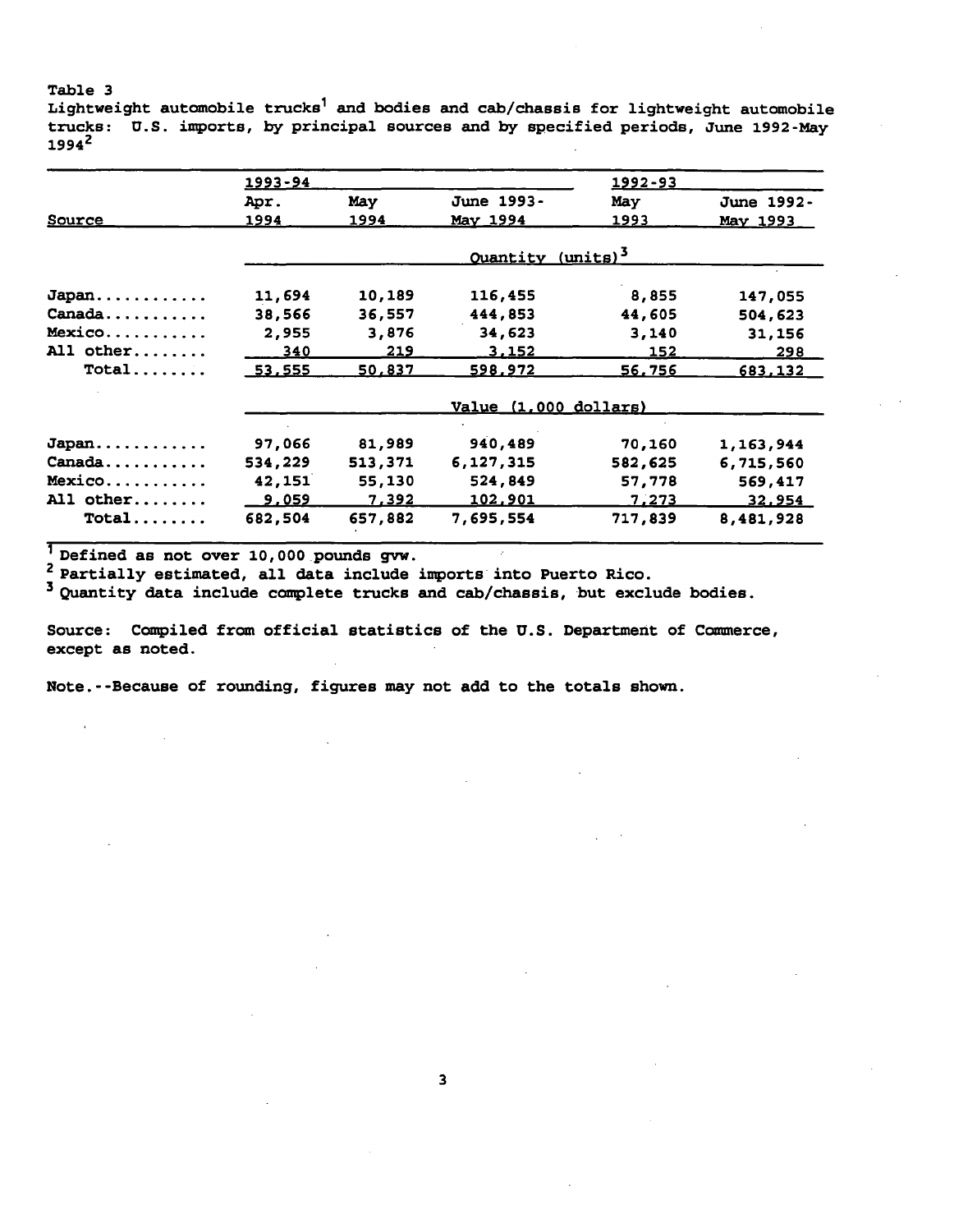Lightweight automobile trucks<sup>1</sup> and bodies and cab/chassis for lightweight automobile trucks: U.S. imports, by principal sources and by specified periods, June 1992-May 19942

|               | 1993-94   |         |                       | <u> 1992-93</u> |            |
|---------------|-----------|---------|-----------------------|-----------------|------------|
|               | Apr.      | May     | June 1993-            | May             | June 1992- |
| <b>Source</b> | 1994      | 1994    | May 1994              | <u> 1993 </u>   | May 1993   |
|               |           |         | Quantity (units) $^3$ |                 |            |
| Japan         | 11,694    | 10,189  | 116,455               | 8,855           | 147,055    |
| Canada        | 38,566    | 36,557  | 444,853               | 44,605          | 504,623    |
| Mexico        | 2,955     | 3,876   | 34,623                | 3,140           | 31,156     |
| All other     | 340       | 219     | 3,152                 | <u> 152</u>     | 298        |
| $Total$       | $-53,555$ | 50,837  | 598,972               | 56,756          | 683,132    |
|               |           |         | Value (1,000 dollars) |                 |            |
| Japan         | 97,066    | 81,989  | 940,489               | 70,160          | 1,163,944  |
| Canada        | 534,229   | 513,371 | 6,127,315             | 582,625         | 6,715,560  |
| Mexico        | 42,151    | 55,130  | 524,849               | 57,778          | 569,417    |
| All other     | 9,059     | 7,392   | 102,901               | 7,273           | 32,954     |
| $Total$       | 682,504   | 657,882 | 7,695,554             | 717,839         | 8,481,928  |

1 Defined as not over 10,000 pounds gvw.<br>2 Partially estimated, all data include imports into Puerto Rico.

3 Quantity data include complete trucks and cab/chassis, but exclude bodies.

Source: Compiled from official statistics of the U.S. Department of Commerce, except as noted.

Note.--Because of rounding, figures may not add to the totals shown.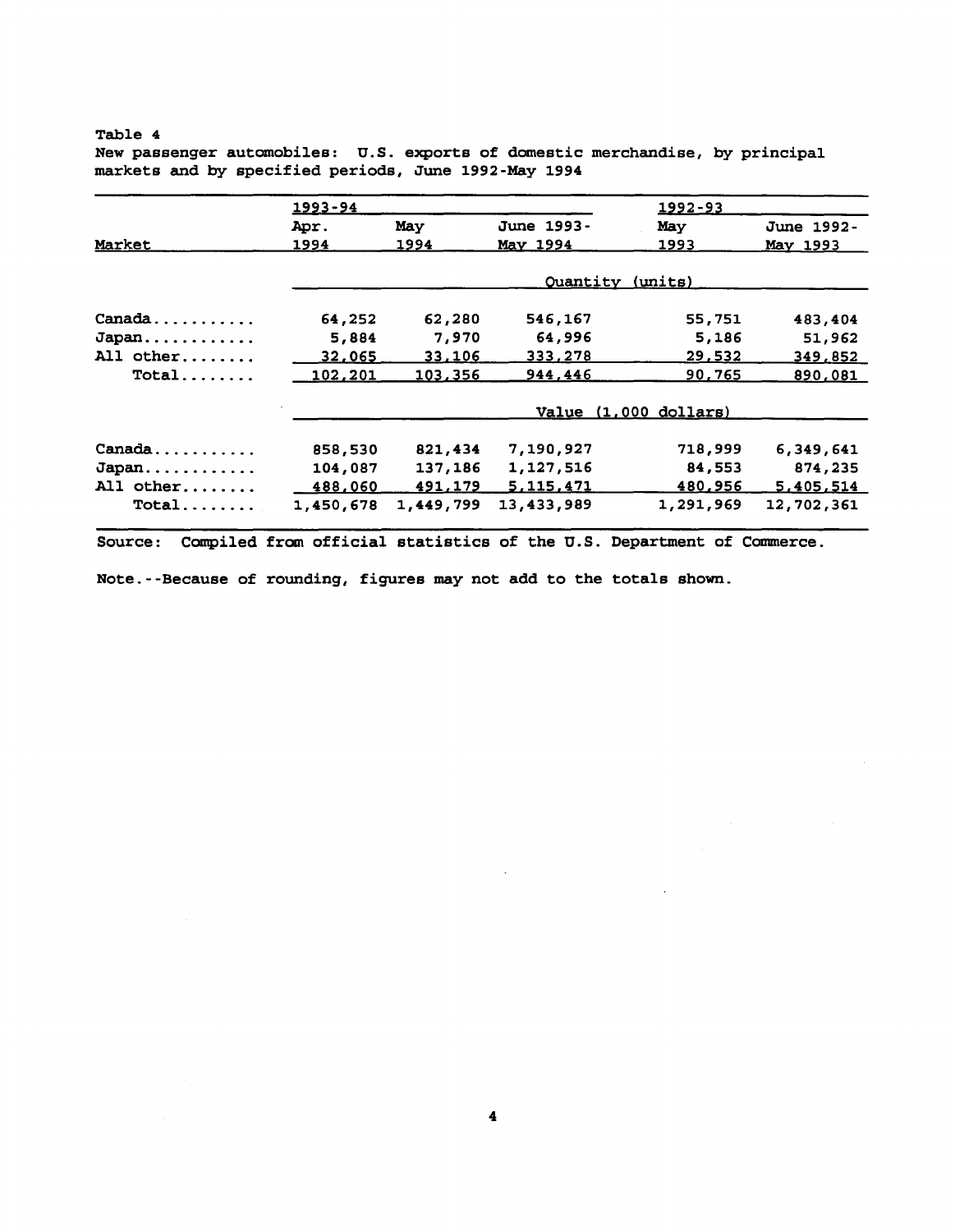New passenger automobiles: U.S. exports of domestic merchandise, by principal markets and by specified periods, June 1992-May 1994

|               | 1993-94               |               |                  | 1992-93   |                |  |  |
|---------------|-----------------------|---------------|------------------|-----------|----------------|--|--|
|               | Apr.                  | May           | June 1993-       | May       | June 1992-     |  |  |
| <u>Market</u> | 1994                  | <u> 1994 </u> | May 1994         | 1993      | May 1993       |  |  |
|               |                       |               | Ouantity (units) |           |                |  |  |
| Canada        | 64,252                | 62,280        | 546,167          | 55,751    | 483,404        |  |  |
| Japan         | 5,884                 | 7,970         | 64,996           | 5,186     | 51,962         |  |  |
| All other     | 32,065                | 33,106        | 333,278          | 29,532    | 349,852        |  |  |
| Total         | 102,201               | 103,356       | 944,446          | 90,765    | <u>890,081</u> |  |  |
|               | Value (1,000 dollars) |               |                  |           |                |  |  |
| Canada        | 858,530               | 821,434       | 7,190,927        | 718,999   | 6,349,641      |  |  |
| Japan         | 104,087               | 137,186       | 1,127,516        | 84,553    | 874,235        |  |  |
| All other     | 488,060               | 491,179       | 5, 115, 471      | 480,956   | 5,405,514      |  |  |
| $Total$       | 1,450,678             | 1,449,799     | 13,433,989       | 1,291,969 | 12,702,361     |  |  |

Source: Compiled from official statistics of the U.S. Department of Commerce.

Note.--Because of rounding, figures may not add to the totals shown.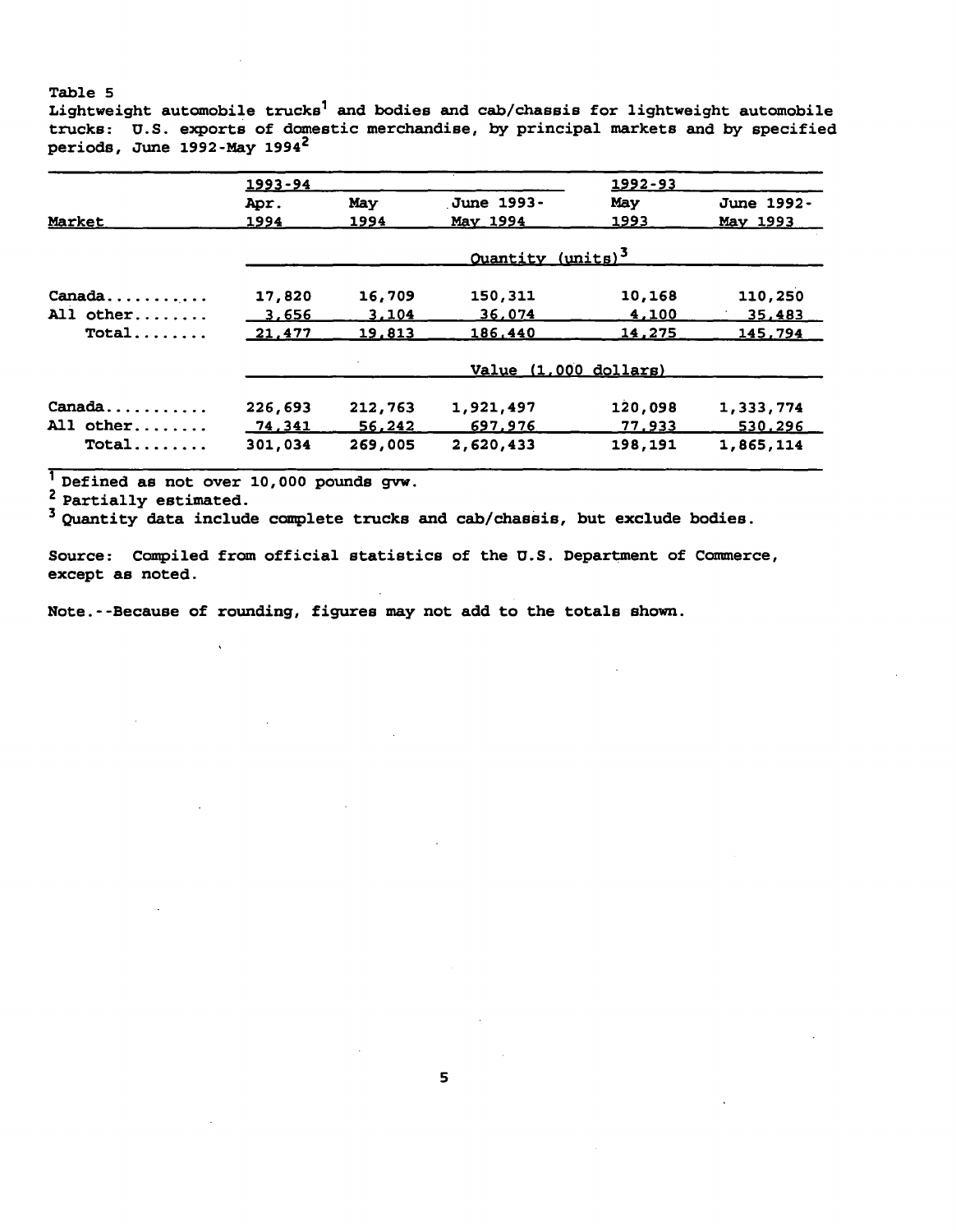Lightweight automobile  $true$ ks<sup>1</sup> and bodies and  $cab/chass$ is for lightweight automobile trucks: U.S. exports of domestic merchandise, by principal markets and by specified periods, June 1992-May 19942

|           | $1993 - 94$ |         |                               | 1992-93 |            |
|-----------|-------------|---------|-------------------------------|---------|------------|
|           | Apr.        | May     | June 1993-                    | May     | June 1992- |
| Market    | 1994        | 1994    | May 1994                      | 1993    | May 1993   |
|           |             |         | Quantity (units) <sup>3</sup> |         |            |
| Canada    | 17,820      | 16,709  | 150,311                       | 10,168  | 110,250    |
| All other | 3,656       | 3,104   | 36,074                        | 4,100   | 35,483     |
| Total     | 21,477      | 19,813  | 186,440                       | 14,275  | 145,794    |
|           |             |         | Value (1,000 dollars)         |         |            |
| Canada.   | 226,693     | 212,763 | 1,921,497                     | 120,098 | 1,333,774  |
| All other | 74,341      | 56,242  | 697,976                       | 77.933  | 530,296    |
| $Total$   | 301,034     | 269,005 | 2,620,433                     | 198,191 | 1,865,114  |

1Defined as not over 10,000 pounds gvw.<br>2 Partially estimated.

3 Quantity data include complete trucks and cab/chassis, but exclude bodies.

Source: Compiled from official statistics of the U.S. Department of Commerce, except as noted.

Note.--Because of rounding, figures may not add to the totals shown.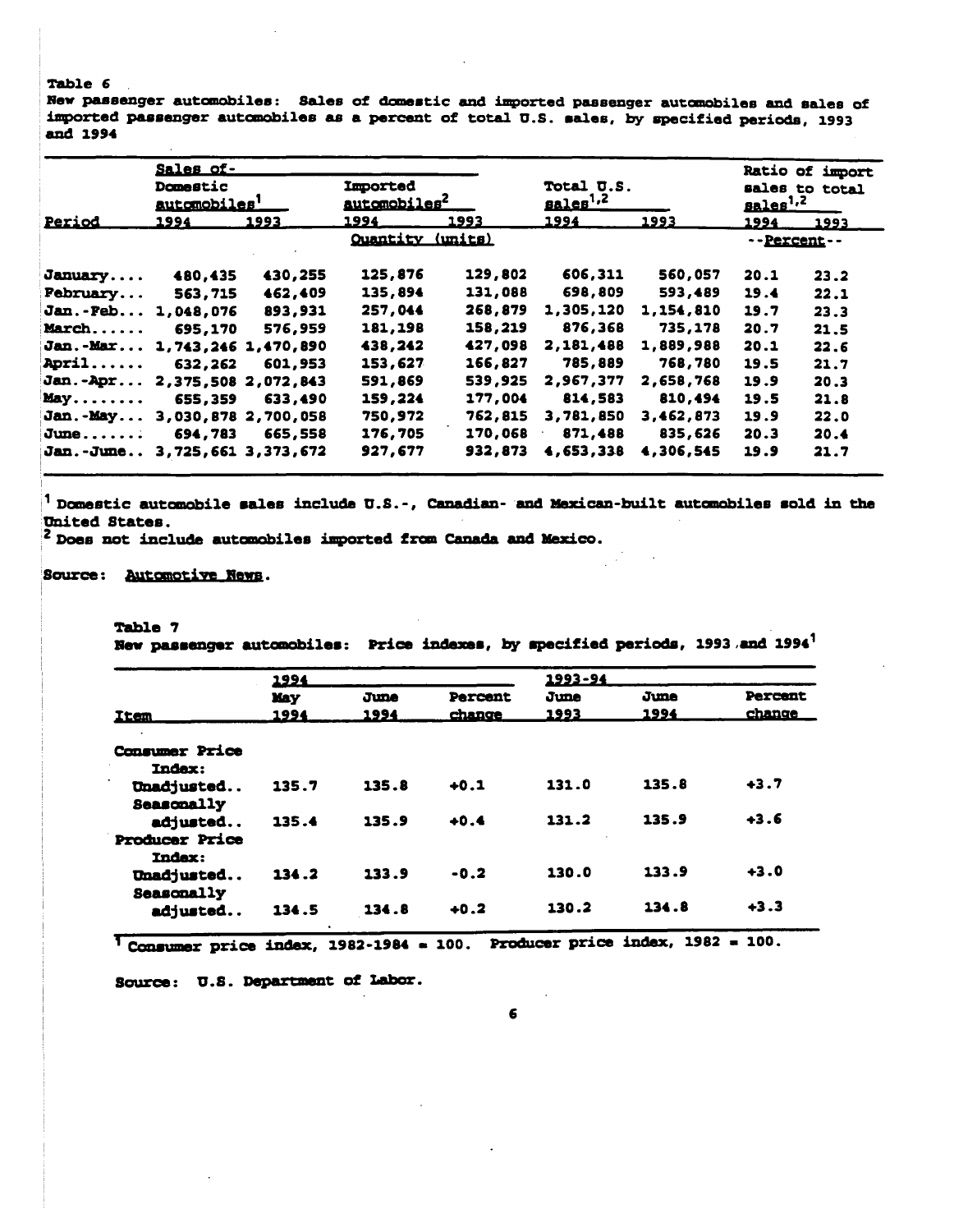New passenger automobiles: Sales of domestic and imported passenger automobiles and sales of imported passenger automobiles as a percent of total U.S. sales, by specified periods, 1993 and 1994

|                                 | Sales of-                |                     |                                      |               |                                   |           |                                        | Ratio of import |
|---------------------------------|--------------------------|---------------------|--------------------------------------|---------------|-----------------------------------|-----------|----------------------------------------|-----------------|
|                                 | Domestic<br>automobiles' |                     | Imported<br>automobiles <sup>2</sup> |               | Total U.S.<br>$B0$ $B0$ $B0$ $B0$ |           | sales to total<br>Bales <sup>1,2</sup> |                 |
|                                 |                          |                     |                                      |               |                                   |           |                                        |                 |
| Period                          | 1994                     | 1993                | 1994_                                | <u> 1993 </u> | 1994                              | 1993      | 1994                                   | 1993            |
|                                 |                          |                     | Quantity (units)                     |               |                                   |           |                                        | -- Percent--    |
| January                         | 480,435                  | 430,255             | 125,876                              | 129,802       | 606,311                           | 560,057   | 20.1                                   | 23.2            |
| <b>Pebruary</b>                 | 563,715                  | 462,409             | 135,894                              | 131,088       | 698,809                           | 593,489   | 19.4                                   | 22.1            |
| Jan.-Feb 1,048,076              |                          | 893,931             | 257,044                              | 268,879       | 1,305,120                         | 1,154,810 | 19.7                                   | 23.3            |
| March                           | 695,170                  | 576,959             | 181,198                              | 158,219       | 876,368                           | 735,178   | 20.7                                   | 21.5            |
| Jan.-Mar 1,743,246 1,470,890    |                          |                     | 438,242                              | 427,098       | 2,181,488                         | 1,889,988 | 20.1                                   | 22.6            |
| April                           | 632,262                  | 601,953             | 153,627                              | 166,827       | 785,889                           | 768,780   | 19.5                                   | 21.7            |
| Jan.-Apr 2,375,508 2,072,843    |                          |                     | 591,869                              | 539,925       | 2,967,377                         | 2,658,768 | 19.9                                   | 20.3            |
| May                             | 655,359                  | 633,490             | 159,224                              | 177,004       | 814,583                           | 810,494   | 19.5                                   | 21.8            |
| Jan.-May                        |                          | 3,030,878 2,700,058 | 750,972                              | 762,815       | 3,781,850                         | 3,462,873 | 19.9                                   | 22.0            |
| $J$ une                         | 694,783                  | 665.558             | 176,705                              | 170,068       | 871,488                           | 835,626   | 20.3                                   | 20.4            |
| $Jan.-June 3,725,661 3,373,672$ |                          |                     | 927,677                              | 932,873       | 4,653,338                         | 4,306,545 | 19.9                                   | 21.7            |

 $^{-1}$  Domestic automobile sales include  $\sigma.s.-$ , Canadian- and Mexican-built automobiles sold in the United States.<br><sup>2</sup> Does not include automobiles imported from Canada and Mexico.

Source: Automotive News.

Table 7

|                                                    | 1994       |       |                | 1993-94 |       |                |
|----------------------------------------------------|------------|-------|----------------|---------|-------|----------------|
|                                                    | <b>May</b> | June  | <b>Percent</b> | June    | June  | <b>Percent</b> |
| Item                                               | 1994       | 1994  | change         | 1993    | 1994  | change         |
| Consumer Price<br>Index:                           |            |       |                |         |       |                |
| Unadjusted<br>Seasonally                           | 135.7      | 135.8 | $+0.1$         | 131.0   | 135.8 | $+3.7$         |
| adjusted<br><b>Producer Price</b><br><b>Indax:</b> | 135.4      | 135.9 | $+0.4$         | 131.2   | 135.9 | $+3.6$         |
| <b>Unadjusted</b><br>Seasonally                    | 134.2      | 133.9 | $-0.2$         | 130.0   | 133.9 | $+3.0$         |
| adjusted                                           | 134.5      | 134.8 | $+0.2$         | 130.2   | 134.8 | $+3.3$         |

<sup>1</sup> Consumer price index, 1982-1984 = 100. Producer price index, 1982 = 100.

Source: U.S. Department of Labor.

 $\Delta$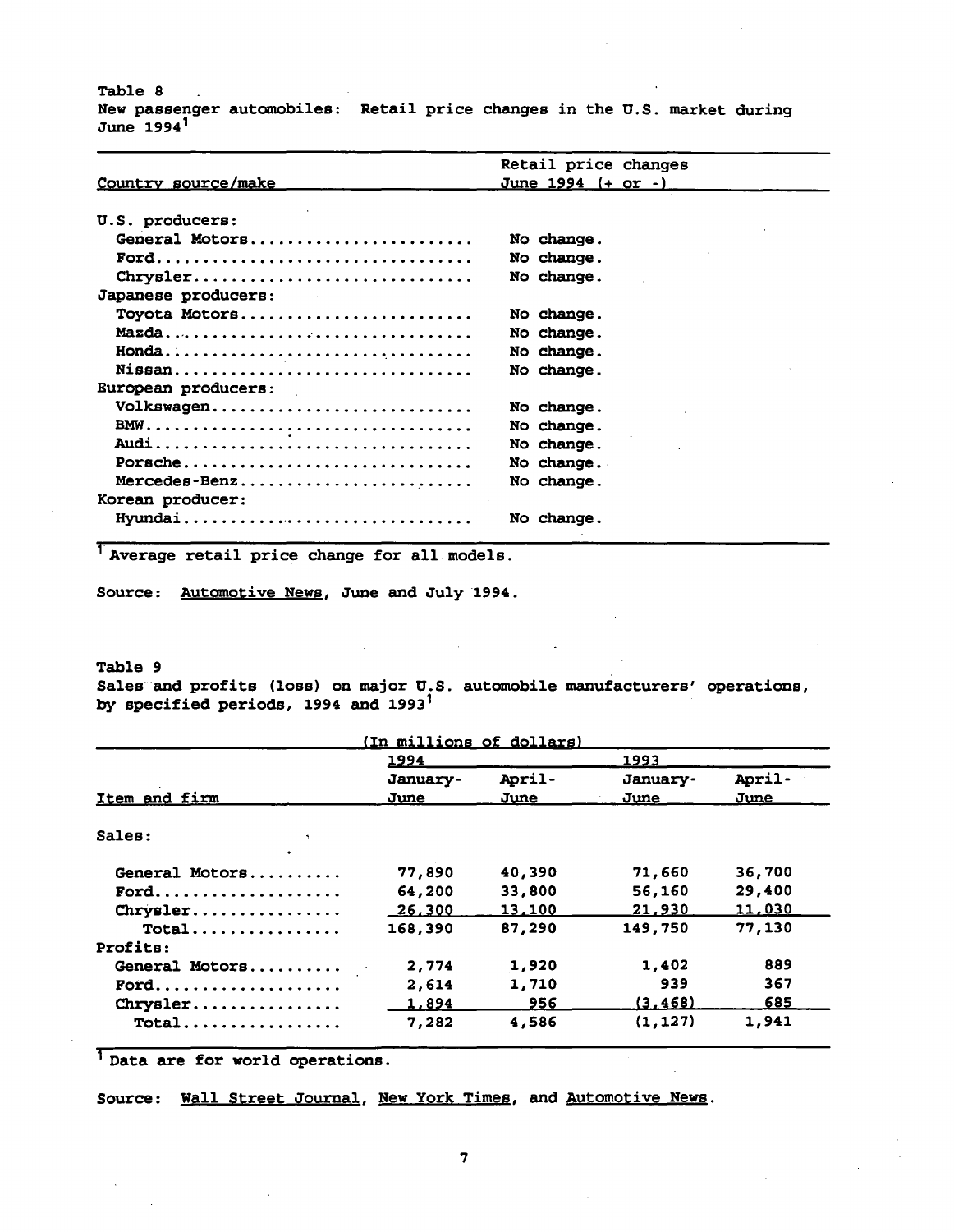New passenger automobiles: Retail price changes in the U.S. market during June  $1994<sup>1</sup>$ 

|                     | Retail price changes |
|---------------------|----------------------|
| Country source/make | June $1994 (+ or -)$ |
| U.S. producers:     |                      |
|                     |                      |
| General Motors      | No change.           |
| Ford                | No change.           |
| Chrysler            | No change.           |
| Japanese producers: |                      |
| Toyota Motors       | No change.           |
|                     | No change.           |
|                     | No change.           |
| Nissan              | No change.           |
| European producers: |                      |
| Volkswagen          | No change.           |
|                     | No change.           |
|                     | No change.           |
| Porsche             | No change.           |
| Mercedes-Benz       | No change.           |
| Korean producer:    |                      |
| Hyundai             | No change.           |

T Average retail price change for all models.

Source: Automotive News, June and July 1994.

Table 9

Sales and profits (loss) on major  $U.S.$  automobile manufacturers' operations, by specified periods, 1994 and 1993<sup>1</sup>

| (In millions of dollars)                            |               |        |          |        |  |  |  |
|-----------------------------------------------------|---------------|--------|----------|--------|--|--|--|
|                                                     | 1994          |        | 1993     |        |  |  |  |
|                                                     | January-      | April- | January- | April- |  |  |  |
| Item and firm                                       | June          | June   | June     | June   |  |  |  |
| Sales:                                              |               |        |          |        |  |  |  |
| General Motors                                      | 77,890        | 40,390 | 71,660   | 36,700 |  |  |  |
| $\texttt{Ford} \dots \dots \dots \dots \dots \dots$ | 64,200        | 33,800 | 56,160   | 29,400 |  |  |  |
| Chrysler                                            | <u>26,300</u> | 13,100 | 21,930   | 11,030 |  |  |  |
| $Total$                                             | 168,390       | 87,290 | 149,750  | 77,130 |  |  |  |
| Profits:                                            |               |        |          |        |  |  |  |
| General Motors                                      | 2,774         | 1,920  | 1,402    | 889    |  |  |  |
| $\texttt{Ford} \dots \dots \dots \dots \dots \dots$ | 2,614         | 1,710  | 939      | 367    |  |  |  |
| Chrysler                                            | 1,894         | 956    | (3, 468) | 685    |  |  |  |
| $Total \ldots \ldots \ldots \ldots$                 | 7,282         | 4,586  | (1, 127) | 1,941  |  |  |  |

<sup>1</sup>Data are for world operations.

Source: Wall Street Journal, New York Times, and Automotive News.